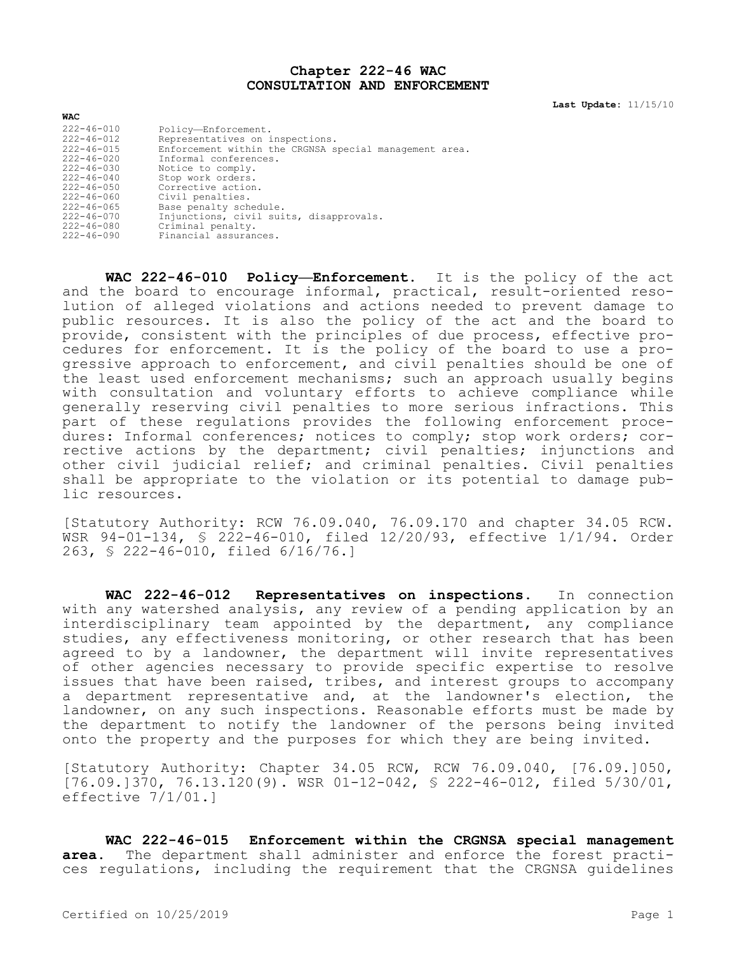## **Chapter 222-46 WAC CONSULTATION AND ENFORCEMENT**

**Last Update:** 11/15/10

| <b>WAC</b>       |                                                        |
|------------------|--------------------------------------------------------|
| $222 - 46 - 010$ | Policy-Enforcement.                                    |
| $222 - 46 - 012$ | Representatives on inspections.                        |
| $222 - 46 - 015$ | Enforcement within the CRGNSA special management area. |
| $222 - 46 - 020$ | Informal conferences.                                  |
| 222-46-030       | Notice to comply.                                      |
| $222 - 46 - 040$ | Stop work orders.                                      |
| $222 - 46 - 050$ | Corrective action.                                     |
| $222 - 46 - 060$ | Civil penalties.                                       |
| $222 - 46 - 065$ | Base penalty schedule.                                 |
| $222 - 46 - 070$ | Injunctions, civil suits, disapprovals.                |
| $222 - 46 - 080$ | Criminal penalty.                                      |
| 222-46-090       | Financial assurances.                                  |

**WAC 222-46-010 Policy—Enforcement.** It is the policy of the act and the board to encourage informal, practical, result-oriented resolution of alleged violations and actions needed to prevent damage to public resources. It is also the policy of the act and the board to provide, consistent with the principles of due process, effective procedures for enforcement. It is the policy of the board to use a progressive approach to enforcement, and civil penalties should be one of the least used enforcement mechanisms; such an approach usually begins with consultation and voluntary efforts to achieve compliance while generally reserving civil penalties to more serious infractions. This part of these regulations provides the following enforcement procedures: Informal conferences; notices to comply; stop work orders; corrective actions by the department; civil penalties; injunctions and other civil judicial relief; and criminal penalties. Civil penalties shall be appropriate to the violation or its potential to damage public resources.

[Statutory Authority: RCW 76.09.040, 76.09.170 and chapter 34.05 RCW. WSR 94-01-134, § 222-46-010, filed 12/20/93, effective 1/1/94. Order 263, § 222-46-010, filed 6/16/76.]

**WAC 222-46-012 Representatives on inspections.** In connection with any watershed analysis, any review of a pending application by an interdisciplinary team appointed by the department, any compliance studies, any effectiveness monitoring, or other research that has been agreed to by a landowner, the department will invite representatives of other agencies necessary to provide specific expertise to resolve issues that have been raised, tribes, and interest groups to accompany a department representative and, at the landowner's election, the landowner, on any such inspections. Reasonable efforts must be made by the department to notify the landowner of the persons being invited onto the property and the purposes for which they are being invited.

[Statutory Authority: Chapter 34.05 RCW, RCW 76.09.040, [76.09.]050, [76.09.]370, 76.13.120(9). WSR 01-12-042, § 222-46-012, filed 5/30/01, effective 7/1/01.]

**WAC 222-46-015 Enforcement within the CRGNSA special management area.** The department shall administer and enforce the forest practices regulations, including the requirement that the CRGNSA guidelines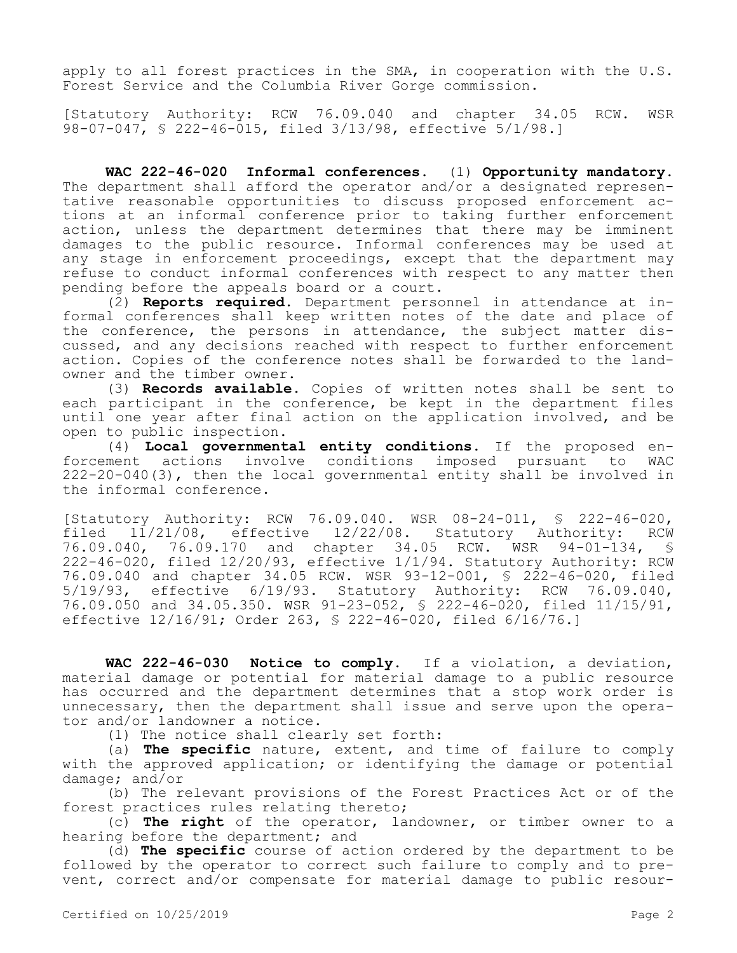apply to all forest practices in the SMA, in cooperation with the U.S. Forest Service and the Columbia River Gorge commission.

[Statutory Authority: RCW 76.09.040 and chapter 34.05 RCW. WSR 98-07-047, § 222-46-015, filed 3/13/98, effective 5/1/98.]

**WAC 222-46-020 Informal conferences.** (1) **Opportunity mandatory.**  The department shall afford the operator and/or a designated representative reasonable opportunities to discuss proposed enforcement actions at an informal conference prior to taking further enforcement action, unless the department determines that there may be imminent damages to the public resource. Informal conferences may be used at any stage in enforcement proceedings, except that the department may refuse to conduct informal conferences with respect to any matter then pending before the appeals board or a court.

(2) **Reports required.** Department personnel in attendance at informal conferences shall keep written notes of the date and place of the conference, the persons in attendance, the subject matter discussed, and any decisions reached with respect to further enforcement action. Copies of the conference notes shall be forwarded to the landowner and the timber owner.

(3) **Records available.** Copies of written notes shall be sent to each participant in the conference, be kept in the department files until one year after final action on the application involved, and be open to public inspection.

(4) **Local governmental entity conditions.** If the proposed enforcement actions involve conditions imposed pursuant to WAC 222-20-040(3), then the local governmental entity shall be involved in the informal conference.

[Statutory Authority: RCW 76.09.040. WSR 08-24-011, § 222-46-020, filed 11/21/08, effective 12/22/08. Statutory Authority: RCW 76.09.040, 76.09.170 and chapter 34.05 RCW. WSR 94-01-134, § 222-46-020, filed 12/20/93, effective 1/1/94. Statutory Authority: RCW 76.09.040 and chapter 34.05 RCW. WSR 93-12-001, § 222-46-020, filed 5/19/93, effective 6/19/93. Statutory Authority: RCW 76.09.040, 76.09.050 and 34.05.350. WSR 91-23-052, § 222-46-020, filed 11/15/91, effective 12/16/91; Order 263, § 222-46-020, filed 6/16/76.]

**WAC 222-46-030 Notice to comply.** If a violation, a deviation, material damage or potential for material damage to a public resource has occurred and the department determines that a stop work order is unnecessary, then the department shall issue and serve upon the operator and/or landowner a notice.

(1) The notice shall clearly set forth:

(a) **The specific** nature, extent, and time of failure to comply with the approved application; or identifying the damage or potential damage; and/or

(b) The relevant provisions of the Forest Practices Act or of the forest practices rules relating thereto;

(c) **The right** of the operator, landowner, or timber owner to a hearing before the department; and

(d) **The specific** course of action ordered by the department to be followed by the operator to correct such failure to comply and to prevent, correct and/or compensate for material damage to public resour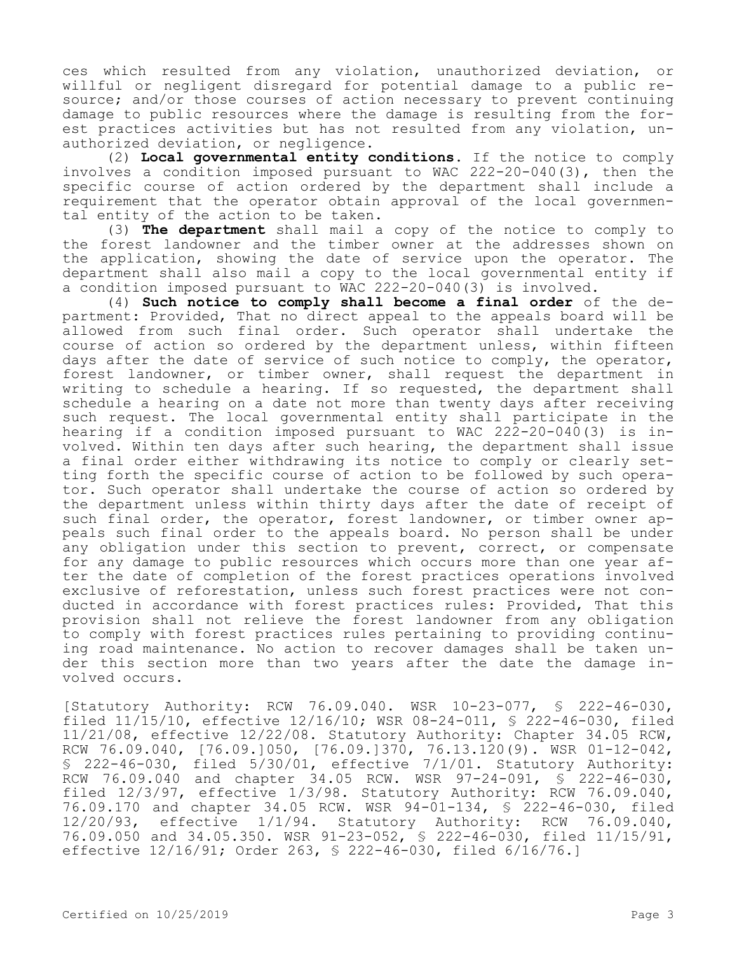ces which resulted from any violation, unauthorized deviation, or willful or negligent disregard for potential damage to a public resource; and/or those courses of action necessary to prevent continuing damage to public resources where the damage is resulting from the forest practices activities but has not resulted from any violation, unauthorized deviation, or negligence.

(2) **Local governmental entity conditions.** If the notice to comply involves a condition imposed pursuant to WAC 222-20-040(3), then the specific course of action ordered by the department shall include a requirement that the operator obtain approval of the local governmental entity of the action to be taken.

(3) **The department** shall mail a copy of the notice to comply to the forest landowner and the timber owner at the addresses shown on the application, showing the date of service upon the operator. The department shall also mail a copy to the local governmental entity if a condition imposed pursuant to WAC 222-20-040(3) is involved.

(4) **Such notice to comply shall become a final order** of the department: Provided, That no direct appeal to the appeals board will be allowed from such final order. Such operator shall undertake the course of action so ordered by the department unless, within fifteen days after the date of service of such notice to comply, the operator, forest landowner, or timber owner, shall request the department in writing to schedule a hearing. If so requested, the department shall schedule a hearing on a date not more than twenty days after receiving such request. The local governmental entity shall participate in the hearing if a condition imposed pursuant to WAC 222-20-040(3) is involved. Within ten days after such hearing, the department shall issue a final order either withdrawing its notice to comply or clearly setting forth the specific course of action to be followed by such operator. Such operator shall undertake the course of action so ordered by the department unless within thirty days after the date of receipt of such final order, the operator, forest landowner, or timber owner appeals such final order to the appeals board. No person shall be under any obligation under this section to prevent, correct, or compensate for any damage to public resources which occurs more than one year after the date of completion of the forest practices operations involved exclusive of reforestation, unless such forest practices were not conducted in accordance with forest practices rules: Provided, That this provision shall not relieve the forest landowner from any obligation to comply with forest practices rules pertaining to providing continuing road maintenance. No action to recover damages shall be taken under this section more than two years after the date the damage involved occurs.

[Statutory Authority: RCW 76.09.040. WSR 10-23-077, § 222-46-030, filed 11/15/10, effective 12/16/10; WSR 08-24-011, § 222-46-030, filed 11/21/08, effective 12/22/08. Statutory Authority: Chapter 34.05 RCW, RCW 76.09.040, [76.09.]050, [76.09.]370, 76.13.120(9). WSR 01-12-042, § 222-46-030, filed 5/30/01, effective 7/1/01. Statutory Authority: RCW 76.09.040 and chapter 34.05 RCW. WSR 97-24-091, § 222-46-030, filed 12/3/97, effective 1/3/98. Statutory Authority: RCW 76.09.040, 76.09.170 and chapter 34.05 RCW. WSR 94-01-134, § 222-46-030, filed 12/20/93, effective 1/1/94. Statutory Authority: RCW 76.09.040, 76.09.050 and 34.05.350. WSR 91-23-052, § 222-46-030, filed 11/15/91, effective 12/16/91; Order 263, § 222-46-030, filed 6/16/76.]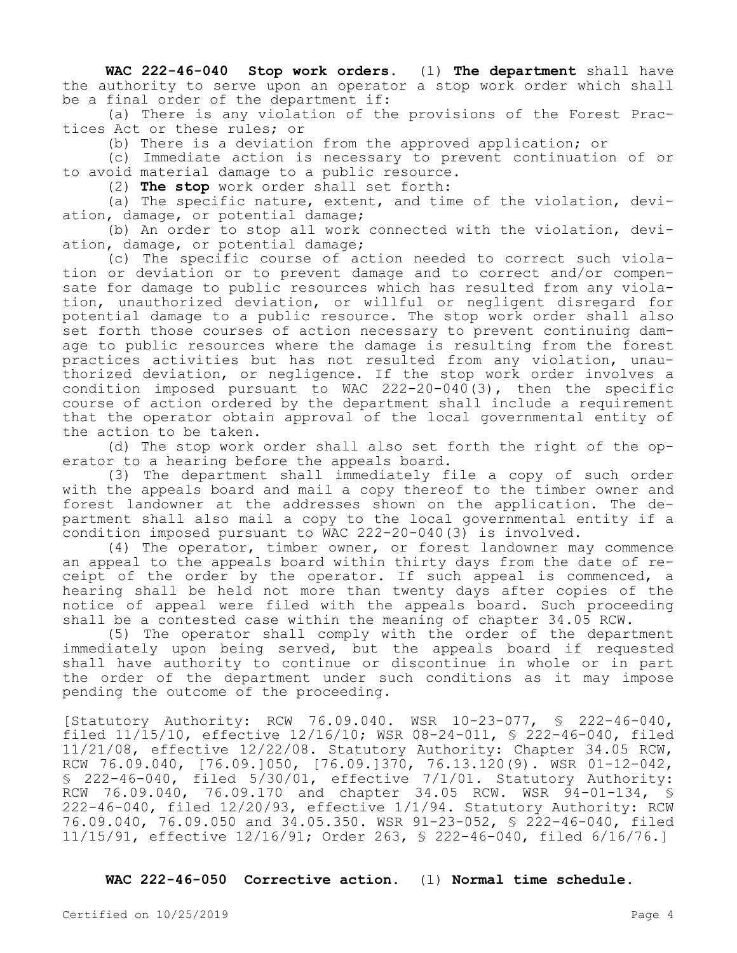**WAC 222-46-040 Stop work orders.** (1) **The department** shall have the authority to serve upon an operator a stop work order which shall be a final order of the department if:

(a) There is any violation of the provisions of the Forest Practices Act or these rules; or

(b) There is a deviation from the approved application; or

(c) Immediate action is necessary to prevent continuation of or to avoid material damage to a public resource.

(2) **The stop** work order shall set forth:

(a) The specific nature, extent, and time of the violation, deviation, damage, or potential damage;

(b) An order to stop all work connected with the violation, deviation, damage, or potential damage;

(c) The specific course of action needed to correct such violation or deviation or to prevent damage and to correct and/or compensate for damage to public resources which has resulted from any violation, unauthorized deviation, or willful or negligent disregard for potential damage to a public resource. The stop work order shall also set forth those courses of action necessary to prevent continuing damage to public resources where the damage is resulting from the forest practices activities but has not resulted from any violation, unauthorized deviation, or negligence. If the stop work order involves a condition imposed pursuant to WAC 222-20-040(3), then the specific course of action ordered by the department shall include a requirement that the operator obtain approval of the local governmental entity of the action to be taken.

(d) The stop work order shall also set forth the right of the operator to a hearing before the appeals board.

(3) The department shall immediately file a copy of such order with the appeals board and mail a copy thereof to the timber owner and forest landowner at the addresses shown on the application. The department shall also mail a copy to the local governmental entity if a condition imposed pursuant to WAC 222-20-040(3) is involved.

(4) The operator, timber owner, or forest landowner may commence an appeal to the appeals board within thirty days from the date of receipt of the order by the operator. If such appeal is commenced, a hearing shall be held not more than twenty days after copies of the notice of appeal were filed with the appeals board. Such proceeding shall be a contested case within the meaning of chapter 34.05 RCW.

(5) The operator shall comply with the order of the department immediately upon being served, but the appeals board if requested shall have authority to continue or discontinue in whole or in part the order of the department under such conditions as it may impose pending the outcome of the proceeding.

[Statutory Authority: RCW 76.09.040. WSR 10-23-077, § 222-46-040, filed 11/15/10, effective 12/16/10; WSR 08-24-011, § 222-46-040, filed 11/21/08, effective 12/22/08. Statutory Authority: Chapter 34.05 RCW, RCW 76.09.040, [76.09.]050, [76.09.]370, 76.13.120(9). WSR 01-12-042, § 222-46-040, filed 5/30/01, effective 7/1/01. Statutory Authority: RCW 76.09.040, 76.09.170 and chapter 34.05 RCW. WSR 94-01-134, § 222-46-040, filed 12/20/93, effective 1/1/94. Statutory Authority: RCW 76.09.040, 76.09.050 and 34.05.350. WSR 91-23-052, § 222-46-040, filed 11/15/91, effective 12/16/91; Order 263, § 222-46-040, filed 6/16/76.]

**WAC 222-46-050 Corrective action.** (1) **Normal time schedule.**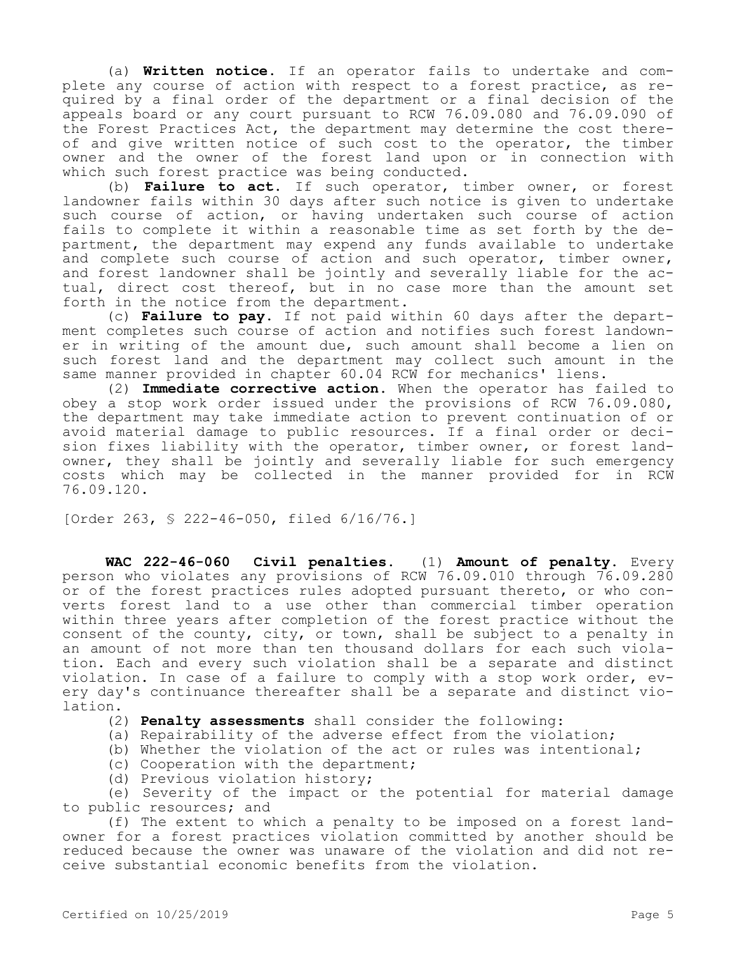(a) **Written notice.** If an operator fails to undertake and complete any course of action with respect to a forest practice, as required by a final order of the department or a final decision of the appeals board or any court pursuant to RCW 76.09.080 and 76.09.090 of the Forest Practices Act, the department may determine the cost thereof and give written notice of such cost to the operator, the timber owner and the owner of the forest land upon or in connection with which such forest practice was being conducted.

(b) **Failure to act.** If such operator, timber owner, or forest landowner fails within 30 days after such notice is given to undertake such course of action, or having undertaken such course of action fails to complete it within a reasonable time as set forth by the department, the department may expend any funds available to undertake and complete such course of action and such operator, timber owner, and forest landowner shall be jointly and severally liable for the actual, direct cost thereof, but in no case more than the amount set forth in the notice from the department.

(c) **Failure to pay.** If not paid within 60 days after the department completes such course of action and notifies such forest landowner in writing of the amount due, such amount shall become a lien on such forest land and the department may collect such amount in the same manner provided in chapter 60.04 RCW for mechanics' liens.

(2) **Immediate corrective action.** When the operator has failed to obey a stop work order issued under the provisions of RCW 76.09.080, the department may take immediate action to prevent continuation of or avoid material damage to public resources. If a final order or decision fixes liability with the operator, timber owner, or forest landowner, they shall be jointly and severally liable for such emergency costs which may be collected in the manner provided for in RCW 76.09.120.

[Order 263, § 222-46-050, filed 6/16/76.]

**WAC 222-46-060 Civil penalties.** (1) **Amount of penalty.** Every person who violates any provisions of RCW 76.09.010 through 76.09.280 or of the forest practices rules adopted pursuant thereto, or who converts forest land to a use other than commercial timber operation within three years after completion of the forest practice without the consent of the county, city, or town, shall be subject to a penalty in an amount of not more than ten thousand dollars for each such violation. Each and every such violation shall be a separate and distinct violation. In case of a failure to comply with a stop work order, every day's continuance thereafter shall be a separate and distinct violation.

(2) **Penalty assessments** shall consider the following:

(a) Repairability of the adverse effect from the violation;

(b) Whether the violation of the act or rules was intentional;

(c) Cooperation with the department;

(d) Previous violation history;

(e) Severity of the impact or the potential for material damage to public resources; and

(f) The extent to which a penalty to be imposed on a forest landowner for a forest practices violation committed by another should be reduced because the owner was unaware of the violation and did not receive substantial economic benefits from the violation.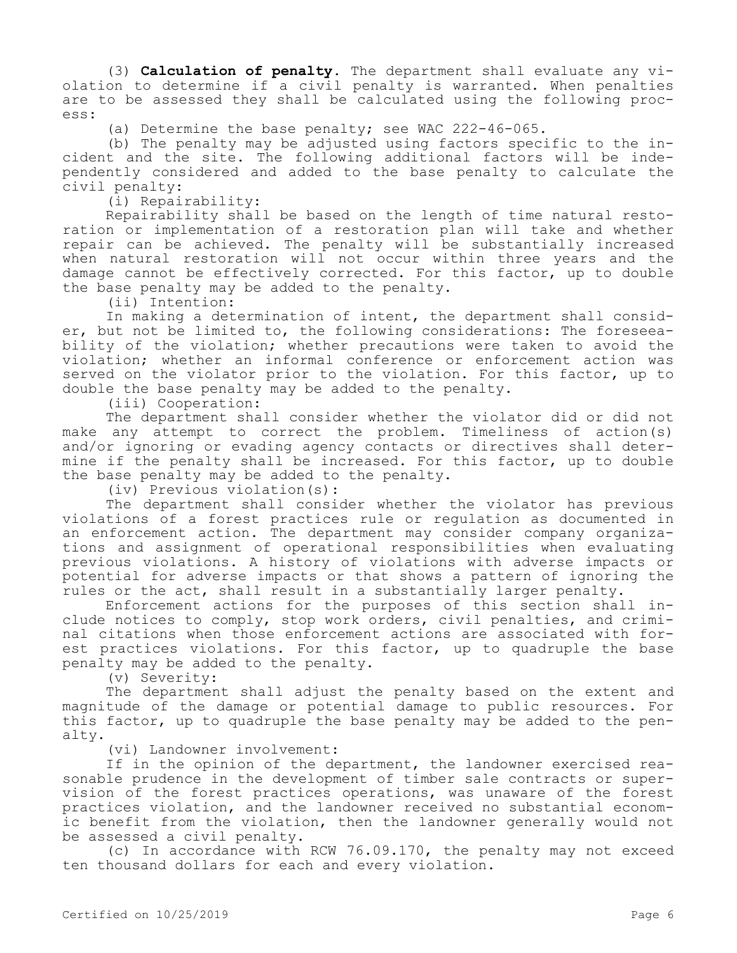(3) **Calculation of penalty.** The department shall evaluate any violation to determine if a civil penalty is warranted. When penalties are to be assessed they shall be calculated using the following process:

(a) Determine the base penalty; see WAC 222-46-065.

(b) The penalty may be adjusted using factors specific to the incident and the site. The following additional factors will be independently considered and added to the base penalty to calculate the civil penalty:

(i) Repairability:

Repairability shall be based on the length of time natural restoration or implementation of a restoration plan will take and whether repair can be achieved. The penalty will be substantially increased when natural restoration will not occur within three years and the damage cannot be effectively corrected. For this factor, up to double the base penalty may be added to the penalty.

(ii) Intention:

In making a determination of intent, the department shall consider, but not be limited to, the following considerations: The foreseeability of the violation; whether precautions were taken to avoid the violation; whether an informal conference or enforcement action was served on the violator prior to the violation. For this factor, up to double the base penalty may be added to the penalty.

(iii) Cooperation:

The department shall consider whether the violator did or did not make any attempt to correct the problem. Timeliness of action(s) and/or ignoring or evading agency contacts or directives shall determine if the penalty shall be increased. For this factor, up to double the base penalty may be added to the penalty.

(iv) Previous violation(s):

The department shall consider whether the violator has previous violations of a forest practices rule or regulation as documented in an enforcement action. The department may consider company organizations and assignment of operational responsibilities when evaluating previous violations. A history of violations with adverse impacts or potential for adverse impacts or that shows a pattern of ignoring the rules or the act, shall result in a substantially larger penalty.

Enforcement actions for the purposes of this section shall include notices to comply, stop work orders, civil penalties, and criminal citations when those enforcement actions are associated with forest practices violations. For this factor, up to quadruple the base penalty may be added to the penalty.

(v) Severity:

The department shall adjust the penalty based on the extent and magnitude of the damage or potential damage to public resources. For this factor, up to quadruple the base penalty may be added to the penalty.

(vi) Landowner involvement:

If in the opinion of the department, the landowner exercised reasonable prudence in the development of timber sale contracts or supervision of the forest practices operations, was unaware of the forest practices violation, and the landowner received no substantial economic benefit from the violation, then the landowner generally would not be assessed a civil penalty.

(c) In accordance with RCW 76.09.170, the penalty may not exceed ten thousand dollars for each and every violation.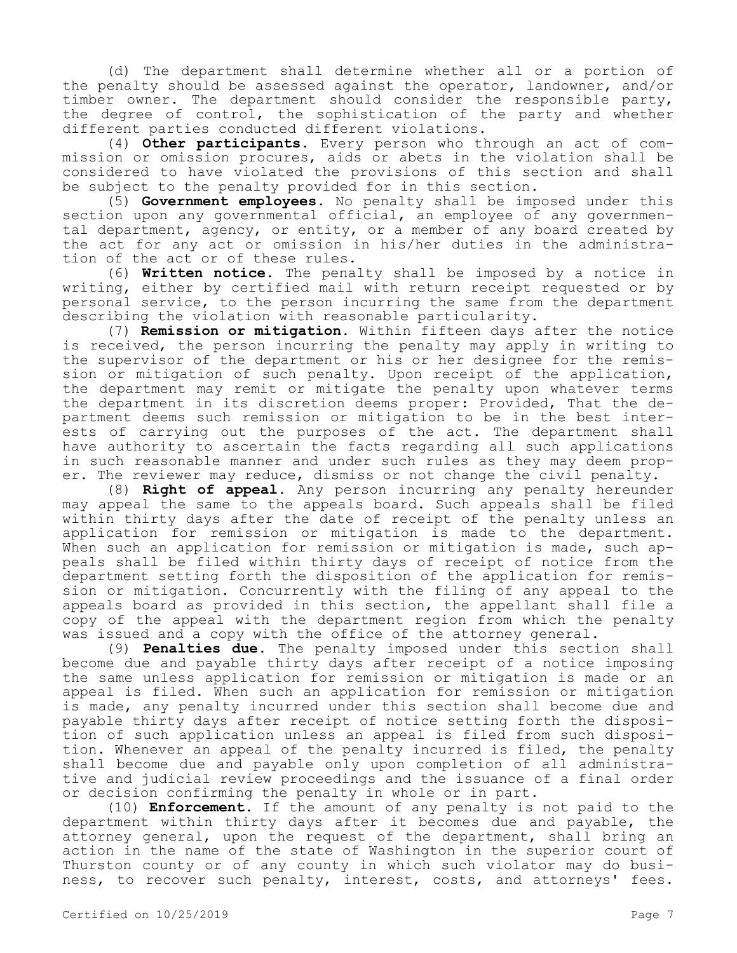(d) The department shall determine whether all or a portion of the penalty should be assessed against the operator, landowner, and/or timber owner. The department should consider the responsible party, the degree of control, the sophistication of the party and whether different parties conducted different violations.

(4) **Other participants.** Every person who through an act of commission or omission procures, aids or abets in the violation shall be considered to have violated the provisions of this section and shall be subject to the penalty provided for in this section.

(5) **Government employees.** No penalty shall be imposed under this section upon any governmental official, an employee of any governmental department, agency, or entity, or a member of any board created by the act for any act or omission in his/her duties in the administration of the act or of these rules.

(6) **Written notice.** The penalty shall be imposed by a notice in writing, either by certified mail with return receipt requested or by personal service, to the person incurring the same from the department describing the violation with reasonable particularity.

(7) **Remission or mitigation.** Within fifteen days after the notice is received, the person incurring the penalty may apply in writing to the supervisor of the department or his or her designee for the remission or mitigation of such penalty. Upon receipt of the application, the department may remit or mitigate the penalty upon whatever terms the department in its discretion deems proper: Provided, That the department deems such remission or mitigation to be in the best interests of carrying out the purposes of the act. The department shall have authority to ascertain the facts regarding all such applications in such reasonable manner and under such rules as they may deem proper. The reviewer may reduce, dismiss or not change the civil penalty.

(8) **Right of appeal.** Any person incurring any penalty hereunder may appeal the same to the appeals board. Such appeals shall be filed within thirty days after the date of receipt of the penalty unless an application for remission or mitigation is made to the department. When such an application for remission or mitigation is made, such appeals shall be filed within thirty days of receipt of notice from the department setting forth the disposition of the application for remission or mitigation. Concurrently with the filing of any appeal to the appeals board as provided in this section, the appellant shall file a copy of the appeal with the department region from which the penalty was issued and a copy with the office of the attorney general.

(9) **Penalties due.** The penalty imposed under this section shall become due and payable thirty days after receipt of a notice imposing the same unless application for remission or mitigation is made or an appeal is filed. When such an application for remission or mitigation is made, any penalty incurred under this section shall become due and payable thirty days after receipt of notice setting forth the disposition of such application unless an appeal is filed from such disposition. Whenever an appeal of the penalty incurred is filed, the penalty shall become due and payable only upon completion of all administrative and judicial review proceedings and the issuance of a final order or decision confirming the penalty in whole or in part.

(10) **Enforcement.** If the amount of any penalty is not paid to the department within thirty days after it becomes due and payable, the attorney general, upon the request of the department, shall bring an action in the name of the state of Washington in the superior court of Thurston county or of any county in which such violator may do business, to recover such penalty, interest, costs, and attorneys' fees.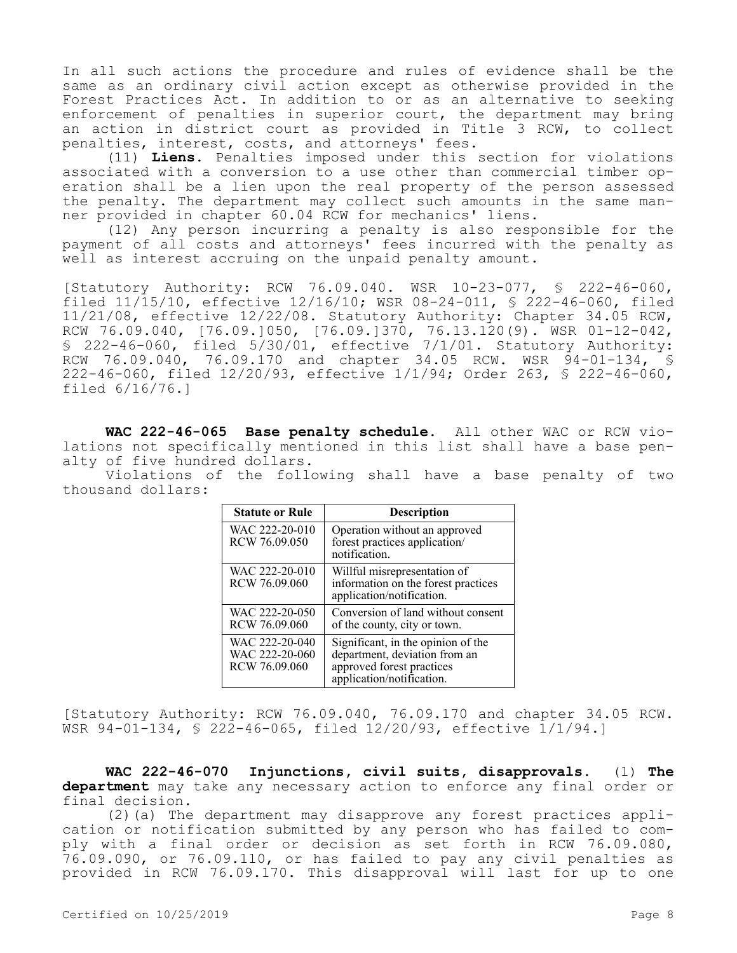In all such actions the procedure and rules of evidence shall be the same as an ordinary civil action except as otherwise provided in the Forest Practices Act. In addition to or as an alternative to seeking enforcement of penalties in superior court, the department may bring an action in district court as provided in Title 3 RCW, to collect penalties, interest, costs, and attorneys' fees.

(11) **Liens.** Penalties imposed under this section for violations associated with a conversion to a use other than commercial timber operation shall be a lien upon the real property of the person assessed the penalty. The department may collect such amounts in the same manner provided in chapter 60.04 RCW for mechanics' liens.

(12) Any person incurring a penalty is also responsible for the payment of all costs and attorneys' fees incurred with the penalty as well as interest accruing on the unpaid penalty amount.

[Statutory Authority: RCW 76.09.040. WSR 10-23-077, § 222-46-060, filed 11/15/10, effective 12/16/10; WSR 08-24-011, § 222-46-060, filed 11/21/08, effective 12/22/08. Statutory Authority: Chapter 34.05 RCW, RCW 76.09.040, [76.09.]050, [76.09.]370, 76.13.120(9). WSR 01-12-042, § 222-46-060, filed 5/30/01, effective 7/1/01. Statutory Authority: RCW 76.09.040, 76.09.170 and chapter 34.05 RCW. WSR 94-01-134, S 222-46-060, filed 12/20/93, effective 1/1/94; Order 263, § 222-46-060, filed 6/16/76.]

**WAC 222-46-065 Base penalty schedule.** All other WAC or RCW violations not specifically mentioned in this list shall have a base penalty of five hundred dollars.

Violations of the following shall have a base penalty of two thousand dollars:

| <b>Statute or Rule</b>                            | <b>Description</b>                                                                                                            |
|---------------------------------------------------|-------------------------------------------------------------------------------------------------------------------------------|
| WAC 222-20-010<br>RCW 76.09.050                   | Operation without an approved<br>forest practices application/<br>notification.                                               |
| WAC 222-20-010<br>RCW 76.09.060                   | Willful misrepresentation of<br>information on the forest practices<br>application/notification.                              |
| WAC 222-20-050<br>RCW 76.09.060                   | Conversion of land without consent<br>of the county, city or town.                                                            |
| WAC 222-20-040<br>WAC 222-20-060<br>RCW 76.09.060 | Significant, in the opinion of the<br>department, deviation from an<br>approved forest practices<br>application/notification. |

[Statutory Authority: RCW 76.09.040, 76.09.170 and chapter 34.05 RCW. WSR 94-01-134, § 222-46-065, filed 12/20/93, effective 1/1/94.]

**WAC 222-46-070 Injunctions, civil suits, disapprovals.** (1) **The department** may take any necessary action to enforce any final order or final decision.

(2)(a) The department may disapprove any forest practices application or notification submitted by any person who has failed to comply with a final order or decision as set forth in RCW 76.09.080, 76.09.090, or 76.09.110, or has failed to pay any civil penalties as provided in RCW 76.09.170. This disapproval will last for up to one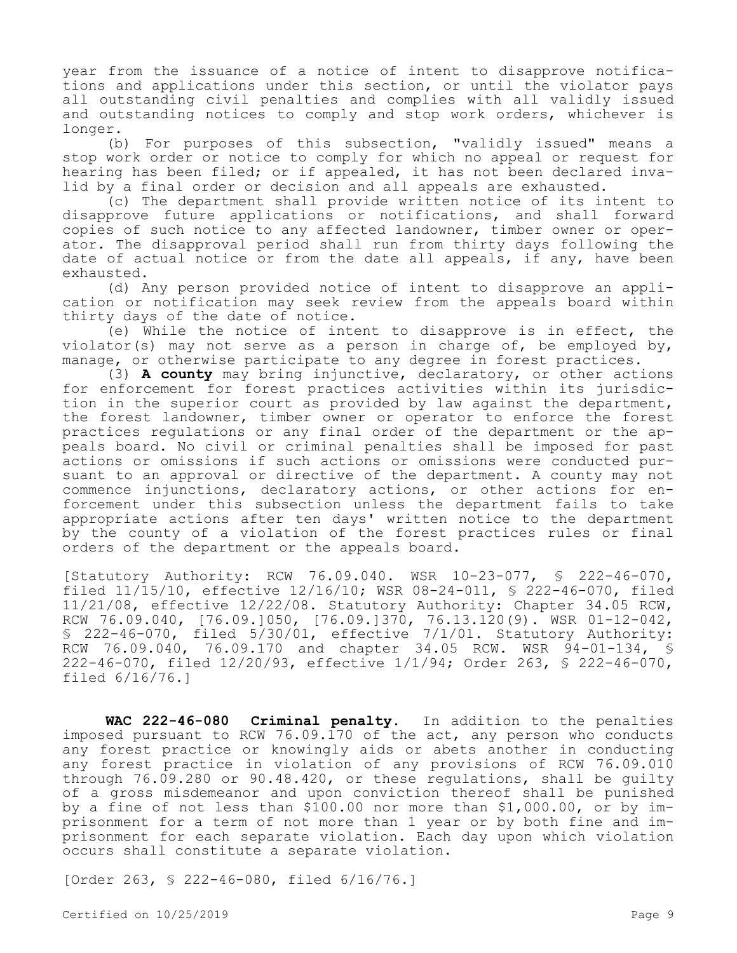year from the issuance of a notice of intent to disapprove notifications and applications under this section, or until the violator pays all outstanding civil penalties and complies with all validly issued and outstanding notices to comply and stop work orders, whichever is longer.

(b) For purposes of this subsection, "validly issued" means a stop work order or notice to comply for which no appeal or request for hearing has been filed; or if appealed, it has not been declared invalid by a final order or decision and all appeals are exhausted.

(c) The department shall provide written notice of its intent to disapprove future applications or notifications, and shall forward copies of such notice to any affected landowner, timber owner or operator. The disapproval period shall run from thirty days following the date of actual notice or from the date all appeals, if any, have been exhausted.

(d) Any person provided notice of intent to disapprove an application or notification may seek review from the appeals board within thirty days of the date of notice.

(e) While the notice of intent to disapprove is in effect, the violator(s) may not serve as a person in charge of, be employed by, manage, or otherwise participate to any degree in forest practices.

(3) **A county** may bring injunctive, declaratory, or other actions for enforcement for forest practices activities within its jurisdiction in the superior court as provided by law against the department, the forest landowner, timber owner or operator to enforce the forest practices regulations or any final order of the department or the appeals board. No civil or criminal penalties shall be imposed for past actions or omissions if such actions or omissions were conducted pursuant to an approval or directive of the department. A county may not commence injunctions, declaratory actions, or other actions for enforcement under this subsection unless the department fails to take appropriate actions after ten days' written notice to the department by the county of a violation of the forest practices rules or final orders of the department or the appeals board.

[Statutory Authority: RCW 76.09.040. WSR 10-23-077, § 222-46-070, filed 11/15/10, effective 12/16/10; WSR 08-24-011, § 222-46-070, filed 11/21/08, effective 12/22/08. Statutory Authority: Chapter 34.05 RCW, RCW 76.09.040, [76.09.]050, [76.09.]370, 76.13.120(9). WSR 01-12-042, § 222-46-070, filed 5/30/01, effective 7/1/01. Statutory Authority: RCW 76.09.040, 76.09.170 and chapter 34.05 RCW. WSR 94-01-134, § 222-46-070, filed 12/20/93, effective 1/1/94; Order 263, § 222-46-070, filed 6/16/76.]

**WAC 222-46-080 Criminal penalty.** In addition to the penalties imposed pursuant to RCW 76.09.170 of the act, any person who conducts any forest practice or knowingly aids or abets another in conducting any forest practice in violation of any provisions of RCW 76.09.010 through 76.09.280 or 90.48.420, or these regulations, shall be guilty of a gross misdemeanor and upon conviction thereof shall be punished by a fine of not less than \$100.00 nor more than \$1,000.00, or by imprisonment for a term of not more than 1 year or by both fine and imprisonment for each separate violation. Each day upon which violation occurs shall constitute a separate violation.

[Order 263, § 222-46-080, filed 6/16/76.]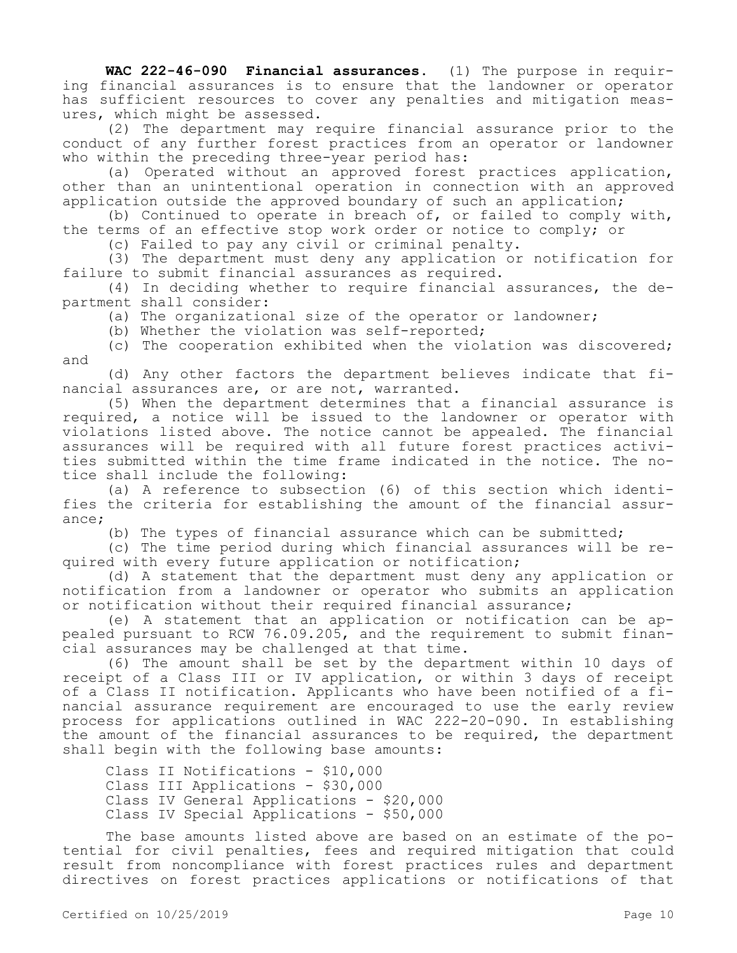**WAC 222-46-090 Financial assurances.** (1) The purpose in requiring financial assurances is to ensure that the landowner or operator has sufficient resources to cover any penalties and mitigation measures, which might be assessed.

(2) The department may require financial assurance prior to the conduct of any further forest practices from an operator or landowner who within the preceding three-year period has:

(a) Operated without an approved forest practices application, other than an unintentional operation in connection with an approved application outside the approved boundary of such an application;

(b) Continued to operate in breach of, or failed to comply with, the terms of an effective stop work order or notice to comply; or

(c) Failed to pay any civil or criminal penalty.

(3) The department must deny any application or notification for failure to submit financial assurances as required.

(4) In deciding whether to require financial assurances, the department shall consider:

(a) The organizational size of the operator or landowner;

(b) Whether the violation was self-reported;

(c) The cooperation exhibited when the violation was discovered; and

(d) Any other factors the department believes indicate that financial assurances are, or are not, warranted.

(5) When the department determines that a financial assurance is required, a notice will be issued to the landowner or operator with violations listed above. The notice cannot be appealed. The financial assurances will be required with all future forest practices activities submitted within the time frame indicated in the notice. The notice shall include the following:

(a) A reference to subsection (6) of this section which identifies the criteria for establishing the amount of the financial assurance;

(b) The types of financial assurance which can be submitted;

(c) The time period during which financial assurances will be required with every future application or notification;

(d) A statement that the department must deny any application or notification from a landowner or operator who submits an application or notification without their required financial assurance;

(e) A statement that an application or notification can be appealed pursuant to RCW 76.09.205, and the requirement to submit financial assurances may be challenged at that time.

(6) The amount shall be set by the department within 10 days of receipt of a Class III or IV application, or within 3 days of receipt of a Class II notification. Applicants who have been notified of a financial assurance requirement are encouraged to use the early review process for applications outlined in WAC 222-20-090. In establishing the amount of the financial assurances to be required, the department shall begin with the following base amounts:

Class II Notifications - \$10,000 Class III Applications - \$30,000 Class IV General Applications - \$20,000 Class IV Special Applications - \$50,000

The base amounts listed above are based on an estimate of the potential for civil penalties, fees and required mitigation that could result from noncompliance with forest practices rules and department directives on forest practices applications or notifications of that